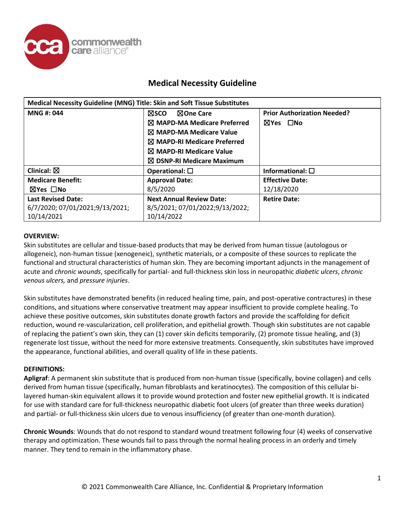

| Medical Necessity Guideline (MNG) Title: Skin and Soft Tissue Substitutes |                                        |                                    |  |  |
|---------------------------------------------------------------------------|----------------------------------------|------------------------------------|--|--|
| <b>MNG#: 044</b>                                                          | <b>NOne Care</b><br>⊠sco               | <b>Prior Authorization Needed?</b> |  |  |
|                                                                           | $\boxtimes$ MAPD-MA Medicare Preferred | ⊠Yes □No                           |  |  |
|                                                                           | $\boxtimes$ MAPD-MA Medicare Value     |                                    |  |  |
|                                                                           | $\boxtimes$ MAPD-RI Medicare Preferred |                                    |  |  |
|                                                                           | $\boxtimes$ MAPD-RI Medicare Value     |                                    |  |  |
|                                                                           | $\boxtimes$ DSNP-RI Medicare Maximum   |                                    |  |  |
| Clinical: $\boxtimes$                                                     | Operational: $\square$                 | Informational: $\square$           |  |  |
| <b>Medicare Benefit:</b>                                                  | <b>Approval Date:</b>                  | <b>Effective Date:</b>             |  |  |
| ⊠Yes □No                                                                  | 8/5/2020                               | 12/18/2020                         |  |  |
| <b>Last Revised Date:</b>                                                 | <b>Next Annual Review Date:</b>        | <b>Retire Date:</b>                |  |  |
| 6/7/2020; 07/01/2021;9/13/2021;                                           | 8/5/2021; 07/01/2022;9/13/2022;        |                                    |  |  |
| 10/14/2021                                                                | 10/14/2022                             |                                    |  |  |

#### **OVERVIEW:**

Skin substitutes are cellular and tissue-based products that may be derived from human tissue (autologous or allogeneic), non-human tissue (xenogeneic), synthetic materials, or a composite of these sources to replicate the functional and structural characteristics of human skin. They are becoming important adjuncts in the management of acute and *chronic wounds*, specifically for partial- and full-thickness skin loss in neuropathic *diabetic ulcers*, *chronic venous ulcers,* and *pressure injuries*.

Skin substitutes have demonstrated benefits (in reduced healing time, pain, and post-operative contractures) in these conditions, and situations where conservative treatment may appear insufficient to provide complete healing. To achieve these positive outcomes, skin substitutes donate growth factors and provide the scaffolding for deficit reduction, wound re-vascularization, cell proliferation, and epithelial growth. Though skin substitutes are not capable of replacing the patient's own skin, they can (1) cover skin deficits temporarily, (2) promote tissue healing, and (3) regenerate lost tissue, without the need for more extensive treatments. Consequently, skin substitutes have improved the appearance, functional abilities, and overall quality of life in these patients.

#### **DEFINITIONS:**

**Apligraf**: A permanent skin substitute that is produced from non-human tissue (specifically, bovine collagen) and cells derived from human tissue (specifically, human fibroblasts and keratinocytes). The composition of this cellular bilayered human-skin equivalent allows it to provide wound protection and foster new epithelial growth. It is indicated for use with standard care for full-thickness neuropathic diabetic foot ulcers (of greater than three weeks duration) and partial- or full-thickness skin ulcers due to venous insufficiency (of greater than one-month duration).

**Chronic Wounds**: Wounds that do not respond to standard wound treatment following four (4) weeks of conservative therapy and optimization. These wounds fail to pass through the normal healing process in an orderly and timely manner. They tend to remain in the inflammatory phase.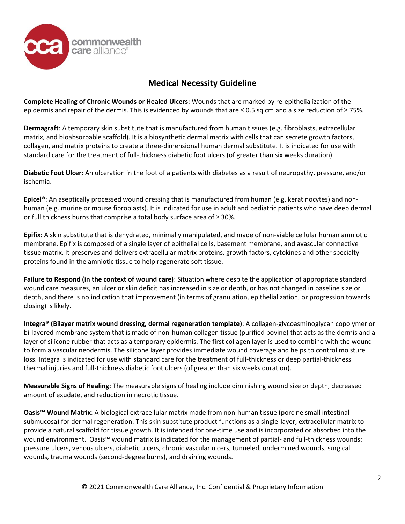

**Complete Healing of Chronic Wounds or Healed Ulcers:** Wounds that are marked by re-epithelialization of the epidermis and repair of the dermis. This is evidenced by wounds that are  $\leq 0.5$  sq cm and a size reduction of  $\geq 75\%$ .

**Dermagraft**: A temporary skin substitute that is manufactured from human tissues (e.g. fibroblasts, extracellular matrix, and bioabsorbable scaffold). It is a biosynthetic dermal matrix with cells that can secrete growth factors, collagen, and matrix proteins to create a three-dimensional human dermal substitute. It is indicated for use with standard care for the treatment of full-thickness diabetic foot ulcers (of greater than six weeks duration).

**Diabetic Foot Ulcer**: An ulceration in the foot of a patients with diabetes as a result of neuropathy, pressure, and/or ischemia.

**Epicel®**: An aseptically processed wound dressing that is manufactured from human (e.g. keratinocytes) and nonhuman (e.g. murine or mouse fibroblasts). It is indicated for use in adult and pediatric patients who have deep dermal or full thickness burns that comprise a total body surface area of ≥ 30%.

**Epifix**: A skin substitute that is dehydrated, minimally manipulated, and made of non-viable cellular human amniotic membrane. Epifix is composed of a single layer of epithelial cells, basement membrane, and avascular connective tissue matrix. It preserves and delivers extracellular matrix proteins, growth factors, cytokines and other specialty proteins found in the amniotic tissue to help regenerate soft tissue.

**Failure to Respond (in the context of wound care)**: Situation where despite the application of appropriate standard wound care measures, an ulcer or skin deficit has increased in size or depth, or has not changed in baseline size or depth, and there is no indication that improvement (in terms of granulation, epithelialization, or progression towards closing) is likely.

**Integra® (Bilayer matrix wound dressing, dermal regeneration template)**: A collagen-glycoasminoglycan copolymer or bi-layered membrane system that is made of non-human collagen tissue (purified bovine) that acts as the dermis and a layer of silicone rubber that acts as a temporary epidermis. The first collagen layer is used to combine with the wound to form a vascular neodermis. The silicone layer provides immediate wound coverage and helps to control moisture loss. Integra is indicated for use with standard care for the treatment of full-thickness or deep partial-thickness thermal injuries and full-thickness diabetic foot ulcers (of greater than six weeks duration).

**Measurable Signs of Healing**: The measurable signs of healing include diminishing wound size or depth, decreased amount of exudate, and reduction in necrotic tissue.

**Oasis™ Wound Matrix**: A biological extracellular matrix made from non-human tissue (porcine small intestinal submucosa) for dermal regeneration. This skin substitute product functions as a single-layer, extracellular matrix to provide a natural scaffold for tissue growth. It is intended for one-time use and is incorporated or absorbed into the wound environment. Oasis™ wound matrix is indicated for the management of partial- and full-thickness wounds: pressure ulcers, venous ulcers, diabetic ulcers, chronic vascular ulcers, tunneled, undermined wounds, surgical wounds, trauma wounds (second-degree burns), and draining wounds.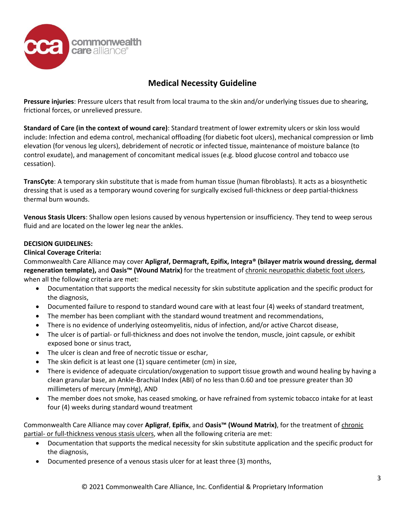

**Pressure injuries**: Pressure ulcers that result from local trauma to the skin and/or underlying tissues due to shearing, frictional forces, or unrelieved pressure.

**Standard of Care (in the context of wound care)**: Standard treatment of lower extremity ulcers or skin loss would include: Infection and edema control, mechanical offloading (for diabetic foot ulcers), mechanical compression or limb elevation (for venous leg ulcers), debridement of necrotic or infected tissue, maintenance of moisture balance (to control exudate), and management of concomitant medical issues (e.g. blood glucose control and tobacco use cessation).

**TransCyte**: A temporary skin substitute that is made from human tissue (human fibroblasts). It acts as a biosynthetic dressing that is used as a temporary wound covering for surgically excised full-thickness or deep partial-thickness thermal burn wounds.

**Venous Stasis Ulcers**: Shallow open lesions caused by venous hypertension or insufficiency. They tend to weep serous fluid and are located on the lower leg near the ankles.

### **DECISION GUIDELINES:**

#### **Clinical Coverage Criteria:**

Commonwealth Care Alliance may cover **Apligraf, Dermagraft, Epifix, Integra® (bilayer matrix wound dressing, dermal regeneration template),** and **Oasis™ (Wound Matrix)** for the treatment of chronic neuropathic diabetic foot ulcers, when all the following criteria are met:

- Documentation that supports the medical necessity for skin substitute application and the specific product for the diagnosis,
- Documented failure to respond to standard wound care with at least four (4) weeks of standard treatment,
- The member has been compliant with the standard wound treatment and recommendations,
- There is no evidence of underlying osteomyelitis, nidus of infection, and/or active Charcot disease,
- The ulcer is of partial- or full-thickness and does not involve the tendon, muscle, joint capsule, or exhibit exposed bone or sinus tract,
- The ulcer is clean and free of necrotic tissue or eschar,
- The skin deficit is at least one (1) square centimeter (cm) in size,
- There is evidence of adequate circulation/oxygenation to support tissue growth and wound healing by having a clean granular base, an Ankle-Brachial Index (ABI) of no less than 0.60 and toe pressure greater than 30 millimeters of mercury (mmHg), AND
- The member does not smoke, has ceased smoking, or have refrained from systemic tobacco intake for at least four (4) weeks during standard wound treatment

Commonwealth Care Alliance may cover **Apligraf**, **Epifix**, and **Oasis™ (Wound Matrix)**, for the treatment of chronic partial- or full-thickness venous stasis ulcers, when all the following criteria are met:

- Documentation that supports the medical necessity for skin substitute application and the specific product for the diagnosis,
- Documented presence of a venous stasis ulcer for at least three (3) months,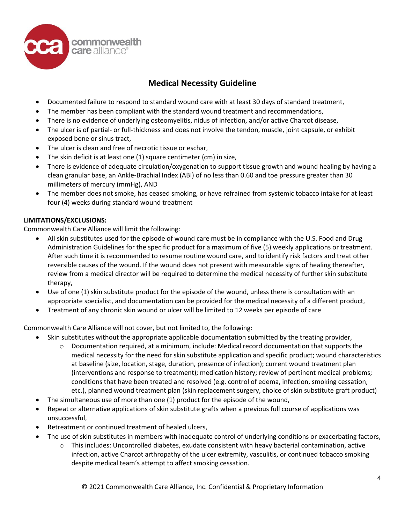

- Documented failure to respond to standard wound care with at least 30 days of standard treatment,
- The member has been compliant with the standard wound treatment and recommendations,
- There is no evidence of underlying osteomyelitis, nidus of infection, and/or active Charcot disease,
- The ulcer is of partial- or full-thickness and does not involve the tendon, muscle, joint capsule, or exhibit exposed bone or sinus tract,
- The ulcer is clean and free of necrotic tissue or eschar,
- The skin deficit is at least one (1) square centimeter (cm) in size,
- There is evidence of adequate circulation/oxygenation to support tissue growth and wound healing by having a clean granular base, an Ankle-Brachial Index (ABI) of no less than 0.60 and toe pressure greater than 30 millimeters of mercury (mmHg), AND
- The member does not smoke, has ceased smoking, or have refrained from systemic tobacco intake for at least four (4) weeks during standard wound treatment

### **LIMITATIONS/EXCLUSIONS:**

Commonwealth Care Alliance will limit the following:

- All skin substitutes used for the episode of wound care must be in compliance with the U.S. Food and Drug Administration Guidelines for the specific product for a maximum of five (5) weekly applications or treatment. After such time it is recommended to resume routine wound care, and to identify risk factors and treat other reversible causes of the wound. If the wound does not present with measurable signs of healing thereafter, review from a medical director will be required to determine the medical necessity of further skin substitute therapy,
- Use of one (1) skin substitute product for the episode of the wound, unless there is consultation with an appropriate specialist, and documentation can be provided for the medical necessity of a different product,
- Treatment of any chronic skin wound or ulcer will be limited to 12 weeks per episode of care

Commonwealth Care Alliance will not cover, but not limited to, the following:

- Skin substitutes without the appropriate applicable documentation submitted by the treating provider,
	- $\circ$  Documentation required, at a minimum, include: Medical record documentation that supports the medical necessity for the need for skin substitute application and specific product; wound characteristics at baseline (size, location, stage, duration, presence of infection); current wound treatment plan (interventions and response to treatment); medication history; review of pertinent medical problems; conditions that have been treated and resolved (e.g. control of edema, infection, smoking cessation, etc.), planned wound treatment plan (skin replacement surgery, choice of skin substitute graft product)
- The simultaneous use of more than one (1) product for the episode of the wound,
- Repeat or alternative applications of skin substitute grafts when a previous full course of applications was unsuccessful,
- Retreatment or continued treatment of healed ulcers,
- The use of skin substitutes in members with inadequate control of underlying conditions or exacerbating factors,
	- $\circ$  This includes: Uncontrolled diabetes, exudate consistent with heavy bacterial contamination, active infection, active Charcot arthropathy of the ulcer extremity, vasculitis, or continued tobacco smoking despite medical team's attempt to affect smoking cessation.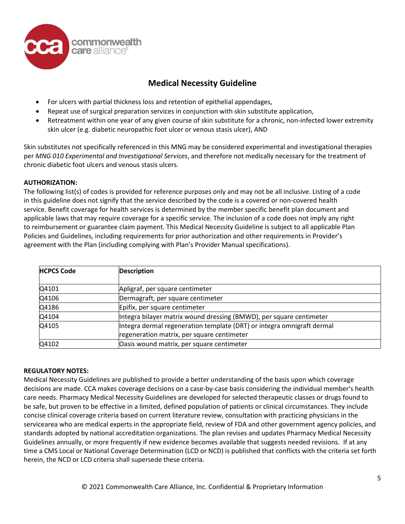

- For ulcers with partial thickness loss and retention of epithelial appendages,
- Repeat use of surgical preparation services in conjunction with skin substitute application,
- Retreatment within one year of any given course of skin substitute for a chronic, non-infected lower extremity skin ulcer (e.g. diabetic neuropathic foot ulcer or venous stasis ulcer), AND

Skin substitutes not specifically referenced in this MNG may be considered experimental and investigational therapies per *MNG 010 Experimental and Investigational Services*, and therefore not medically necessary for the treatment of chronic diabetic foot ulcers and venous stasis ulcers.

### **AUTHORIZATION:**

The following list(s) of codes is provided for reference purposes only and may not be all inclusive. Listing of a code in this guideline does not signify that the service described by the code is a covered or non-covered health service. Benefit coverage for health services is determined by the member specific benefit plan document and applicable laws that may require coverage for a specific service. The inclusion of a code does not imply any right to reimbursement or guarantee claim payment. This Medical Necessity Guideline is subject to all applicable Plan Policies and Guidelines, including requirements for prior authorization and other requirements in Provider's agreement with the Plan (including complying with Plan's Provider Manual specifications).

| <b>HCPCS Code</b> | <b>Description</b>                                                                                                   |
|-------------------|----------------------------------------------------------------------------------------------------------------------|
| Q4101             | Apligraf, per square centimeter                                                                                      |
| Q4106             | Dermagraft, per square centimeter                                                                                    |
| Q4186             | Epifix, per square centimeter                                                                                        |
| Q4104             | Integra bilayer matrix wound dressing (BMWD), per square centimeter                                                  |
| Q4105             | Integra dermal regeneration template (DRT) or integra omnigraft dermal<br>regeneration matrix, per square centimeter |
| Q4102             | Oasis wound matrix, per square centimeter                                                                            |

#### **REGULATORY NOTES:**

Medical Necessity Guidelines are published to provide a better understanding of the basis upon which coverage decisions are made. CCA makes coverage decisions on a case-by-case basis considering the individual member's health care needs. Pharmacy Medical Necessity Guidelines are developed for selected therapeutic classes or drugs found to be safe, but proven to be effective in a limited, defined population of patients or clinical circumstances. They include concise clinical coverage criteria based on current literature review, consultation with practicing physicians in the servicearea who are medical experts in the appropriate field, review of FDA and other government agency policies, and standards adopted by national accreditation organizations. The plan revises and updates Pharmacy Medical Necessity Guidelines annually, or more frequently if new evidence becomes available that suggests needed revisions. If at any time a CMS Local or National Coverage Determination (LCD or NCD) is published that conflicts with the criteria set forth herein, the NCD or LCD criteria shall supersede these criteria.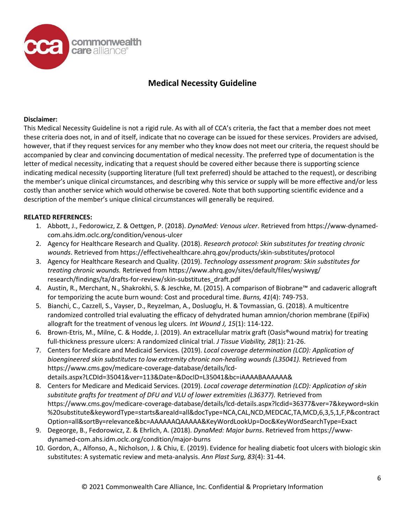

### **Disclaimer:**

This Medical Necessity Guideline is not a rigid rule. As with all of CCA's criteria, the fact that a member does not meet these criteria does not, in and of itself, indicate that no coverage can be issued for these services. Providers are advised, however, that if they request services for any member who they know does not meet our criteria, the request should be accompanied by clear and convincing documentation of medical necessity. The preferred type of documentation is the letter of medical necessity, indicating that a request should be covered either because there is supporting science indicating medical necessity (supporting literature (full text preferred) should be attached to the request), or describing the member's unique clinical circumstances, and describing why this service or supply will be more effective and/or less costly than another service which would otherwise be covered. Note that both supporting scientific evidence and a description of the member's unique clinical circumstances will generally be required.

#### **RELATED REFERENCES:**

- 1. Abbott, J., Fedorowicz, Z. & Oettgen, P. (2018). *DynaMed: Venous ulcer*. Retrieved from https://www-dynamedcom.ahs.idm.oclc.org/condition/venous-ulcer
- 2. Agency for Healthcare Research and Quality. (2018). *Research protocol: Skin substitutes for treating chronic wounds*. Retrieved from https://effectivehealthcare.ahrq.gov/products/skin-substitutes/protocol
- 3. Agency for Healthcare Research and Quality. (2019). *Technology assessment program: Skin substitutes for treating chronic wounds.* Retrieved from https://www.ahrq.gov/sites/default/files/wysiwyg/ research/findings/ta/drafts-for-review/skin-substitutes\_draft.pdf
- 4. Austin, R., Merchant, N., Shakrokhi, S. & Jeschke, M. (2015). A comparison of Biobrane™ and cadaveric allograft for temporizing the acute burn wound: Cost and procedural time. *Burns, 41*(4): 749-753.
- 5. Bianchi, C., Cazzell, S., Vayser, D., Reyzelman, A., Dosluoglu, H. & Tovmassian, G. (2018). A multicentre randomized controlled trial evaluating the efficacy of dehydrated human amnion/chorion membrane (EpiFix) allograft for the treatment of venous leg ulcers*. Int Wound J, 15*(1): 114-122.
- 6. Brown-Etris, M., Milne, C. & Hodde, J. (2019). An extracellular matrix graft (Oasis®wound matrix) for treating full-thickness pressure ulcers: A randomized clinical trial. *J Tissue Viability, 28*(1): 21-26.
- 7. Centers for Medicare and Medicaid Services. (2019). *Local coverage determination (LCD): Application of bioengineered skin substitutes to low extremity chronic non-healing wounds (L35041).* Retrieved from [https://www.cms.gov/medicare-coverage-database/details/lcd](https://www.cms.gov/medicare-coverage-database/details/lcd-details.aspx?LCDId=35041&ver=113&Date=&DocID=L35041&bc=iAAAABAAAAAA&)[details.aspx?LCDId=35041&ver=113&Date=&DocID=L35041&bc=iAAAABAAAAAA&](https://www.cms.gov/medicare-coverage-database/details/lcd-details.aspx?LCDId=35041&ver=113&Date=&DocID=L35041&bc=iAAAABAAAAAA&)
- 8. Centers for Medicare and Medicaid Services. (2019). *Local coverage determination (LCD): Application of skin substitute grafts for treatment of DFU and VLU of lower extremities (L36377).* Retrieved from <https://www.cms.gov/medicare-coverage-database/details/lcd-details.aspx?lcdid=36377&ver=7&keyword=skin> %20substitute&keywordType=starts&areaId=all&docType=NCA,CAL,NCD,MEDCAC,TA,MCD,6,3,5,1,F,P&contract Option=all&sortBy=relevance&bc=AAAAAAQAAAAA&KeyWordLookUp=Doc&KeyWordSearchType=Exact
- 9. Degeorge, B., Fedorowicz, Z. & Ehrlich, A. (2018). *DynaMed: Major burns*. Retrieved from https://wwwdynamed-com.ahs.idm.oclc.org/condition/major-burns
- 10. Gordon, A., Alfonso, A., Nicholson, J. & Chiu, E. (2019). Evidence for healing diabetic foot ulcers with biologic skin substitutes: A systematic review and meta-analysis. *Ann Plast Surg, 83*(4): 31-44.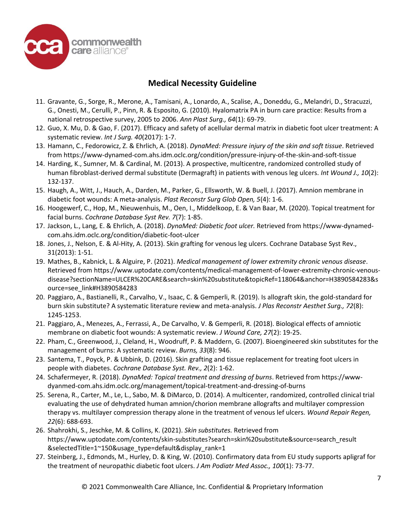

- 11. Gravante, G., Sorge, R., Merone, A., Tamisani, A., Lonardo, A., Scalise, A., Doneddu, G., Melandri, D., Stracuzzi, G., Onesti, M., Cerulli, P., Pinn, R. & Esposito, G. (2010). Hyalomatrix PA in burn care practice: Results from a national retrospective survey, 2005 to 2006. *Ann Plast Surg., 64*(1): 69-79.
- 12. Guo, X. Mu, D. & Gao, F. (2017). Efficacy and safety of acellular dermal matrix in diabetic foot ulcer treatment: A systematic review. *Int J Surg. 40*(2017): 1-7.
- 13. Hamann, C., Fedorowicz, Z. & Ehrlich, A. (2018). *DynaMed: Pressure injury of the skin and soft tissue*. Retrieved from https://www-dynamed-com.ahs.idm.oclc.org/condition/pressure-injury-of-the-skin-and-soft-tissue
- 14. Harding, K., Sumner, M. & Cardinal, M. (2013). A prospective, multicentre, randomized controlled study of human fibroblast-derived dermal substitute (Dermagraft) in patients with venous leg ulcers. *Int Wound J., 10*(2): 132-137.
- 15. Haugh, A., Witt, J., Hauch, A., Darden, M., Parker, G., Ellsworth, W. & Buell, J. (2017). Amnion membrane in diabetic foot wounds: A meta-analysis. *Plast Reconstr Surg Glob Open, 5*(4): 1-6.
- 16. Hoogewerf, C., Hop, M., Nieuwenhuis, M., Oen, I., Middelkoop, E. & Van Baar, M. (2020). Topical treatment for facial burns. *Cochrane Database Syst Rev. 7*(7): 1-85.
- 17. Jackson, L., Lang, E. & Ehrlich, A. (2018). *DynaMed: Diabetic foot ulcer.* Retrieved from https://www-dynamedcom.ahs.idm.oclc.org/condition/diabetic-foot-ulcer
- 18. Jones, J., Nelson, E. & Al-Hity, A. (2013). Skin grafting for venous leg ulcers. Cochrane Database Syst Rev., 31(2013): 1-51.
- 19. Mathes, B., Kabnick, L. & Alguire, P. (2021). *Medical management of lower extremity chronic venous disease*. Retrieved from https://www.uptodate.com/contents/medical-management-of-lower-extremity-chronic-venousdisease?sectionName=ULCER%20CARE&search=skin%20substitute&topicRef=118064&anchor=H3890584283&s ource=see\_link#H3890584283
- 20. Paggiaro, A., Bastianelli, R., Carvalho, V., Isaac, C. & Gemperli, R. (2019). Is allograft skin, the gold-standard for burn skin substitute? A systematic literature review and meta-analysis. *J Plas Reconstr Aesthet Surg., 72*(8): 1245-1253.
- 21. Paggiaro, A., Menezes, A., Ferrassi, A., De Carvalho, V. & Gemperli, R. (2018). Biological effects of amniotic membrane on diabetic foot wounds: A systematic review. *J Wound Care, 27*(2): 19-25.
- 22. Pham, C., Greenwood, J., Cleland, H., Woodruff, P. & Maddern, G. (2007). Bioengineered skin substitutes for the management of burns: A systematic review. *Burns, 33*(8): 946.
- 23. Santema, T., Poyck, P. & Ubbink, D. (2016). Skin grafting and tissue replacement for treating foot ulcers in people with diabetes. *Cochrane Database Syst. Rev., 2*(2): 1-62.
- 24. Schafermeyer, R. (2018). *DynaMed: Topical treatment and dressing of burns*. Retrieved from https://wwwdyanmed-com.ahs.idm.oclc.org/management/topical-treatment-and-dressing-of-burns
- 25. Serena, R., Carter, M., Le, L., Sabo, M. & DiMarco, D. (2014). A multicenter, randomized, controlled clinical trial evaluating the use of dehydrated human amnion/chorion membrane allografts and multilayer compression therapy vs. multilayer compression therapy alone in the treatment of venous lef ulcers. *Wound Repair Regen, 22*(6): 688-693.
- 26. Shahrokhi, S., Jeschke, M. & Collins, K. (2021). *Skin substitutes.* Retrieved from https://www.uptodate.com/contents/skin-substitutes?search=skin%20substitute&source=search\_result &selectedTitle=1~150&usage\_type=default&display\_rank=1
- 27. Steinberg, J., Edmonds, M., Hurley, D. & King, W. (2010). Confirmatory data from EU study supports apligraf for the treatment of neuropathic diabetic foot ulcers. *J Am Podiatr Med Assoc., 100*(1): 73-77.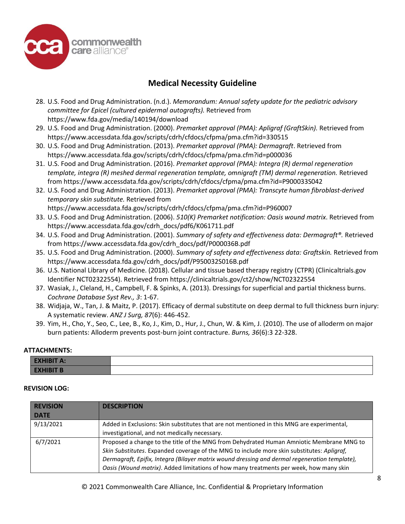

- 28. U.S. Food and Drug Administration. (n.d.). *Memorandum: Annual safety update for the pediatric advisory committee for Epicel (cultured epidermal autografts).* Retrieved from https://www.fda.gov/media/140194/download
- 29. U.S. Food and Drug Administration. (2000). *Premarket approval (PMA): Apligraf (GraftSkin).* Retrieved from https://www.accessdata.fda.gov/scripts/cdrh/cfdocs/cfpma/pma.cfm?id=330515
- 30. U.S. Food and Drug Administration. (2013). *Premarket approval (PMA): Dermagraft*. Retrieved from https://www.accessdata.fda.gov/scripts/cdrh/cfdocs/cfpma/pma.cfm?id=p000036
- 31. U.S. Food and Drug Administration. (2016). *Premarket approval (PMA): Integra (R) dermal regeneration template, integra (R) meshed dermal regeneration template, omnigraft (TM) dermal regeneration.* Retrieved from https://www.accessdata.fda.gov/scripts/cdrh/cfdocs/cfpma/pma.cfm?id=P900033S042
- 32. U.S. Food and Drug Administration. (2013). *Premarket approval (PMA): Transcyte human fibroblast-derived temporary skin substitute.* Retrieved from

https://www.accessdata.fda.gov/scripts/cdrh/cfdocs/cfpma/pma.cfm?id=P960007

- 33. U.S. Food and Drug Administration. (2006). *510(K) Premarket notification: Oasis wound matrix*. Retrieved from https://www.accessdata.fda.gov/cdrh\_docs/pdf6/K061711.pdf
- 34. U.S. Food and Drug Administration. (2001). *Summary of safety and effectiveness data: Dermagraft®.* Retrieved from https://www.accessdata.fda.gov/cdrh\_docs/pdf/P000036B.pdf
- 35. U.S. Food and Drug Administration. (2000). *Summary of safety and effectiveness data: Graftskin.* Retrieved from https://www.accessdata.fda.gov/cdrh\_docs/pdf/P950032S016B.pdf
- 36. U.S. National Library of Medicine. (2018). Cellular and tissue based therapy registry (CTPR) (Clinicaltrials.gov Identifier NCT02322554). Retrieved from https://clinicaltrials.gov/ct2/show/NCT02322554
- 37. Wasiak, J., Cleland, H., Campbell, F. & Spinks, A. (2013). Dressings for superficial and partial thickness burns. *Cochrane Database Syst Rev., 3*: 1-67.
- 38. Widjaja, W., Tan, J. & Maitz, P. (2017). Efficacy of dermal substitute on deep dermal to full thickness burn injury: A systematic review. *ANZ J Surg, 87*(6): 446-452.
- 39. Yim, H., Cho, Y., Seo, C., Lee, B., Ko, J., Kim, D., Hur, J., Chun, W. & Kim, J. (2010). The use of alloderm on major burn patients: Alloderm prevents post-burn joint contracture. *Burns, 36*(6):3 22-328.

#### **ATTACHMENTS:**

| <b>EXHIBIT A:</b> |  |
|-------------------|--|
| <b>EXHIBIT B</b>  |  |

#### **REVISION LOG:**

| <b>REVISION</b><br><b>DATE</b> | <b>DESCRIPTION</b>                                                                            |
|--------------------------------|-----------------------------------------------------------------------------------------------|
| 9/13/2021                      | Added in Exclusions: Skin substitutes that are not mentioned in this MNG are experimental,    |
|                                | investigational, and not medically necessary.                                                 |
| 6/7/2021                       | Proposed a change to the title of the MNG from Dehydrated Human Amniotic Membrane MNG to      |
|                                | Skin Substitutes. Expanded coverage of the MNG to include more skin substitutes: Apligraf,    |
|                                | Dermagraft, Epifix, Integra (Bilayer matrix wound dressing and dermal regeneration template), |
|                                | Oasis (Wound matrix). Added limitations of how many treatments per week, how many skin        |